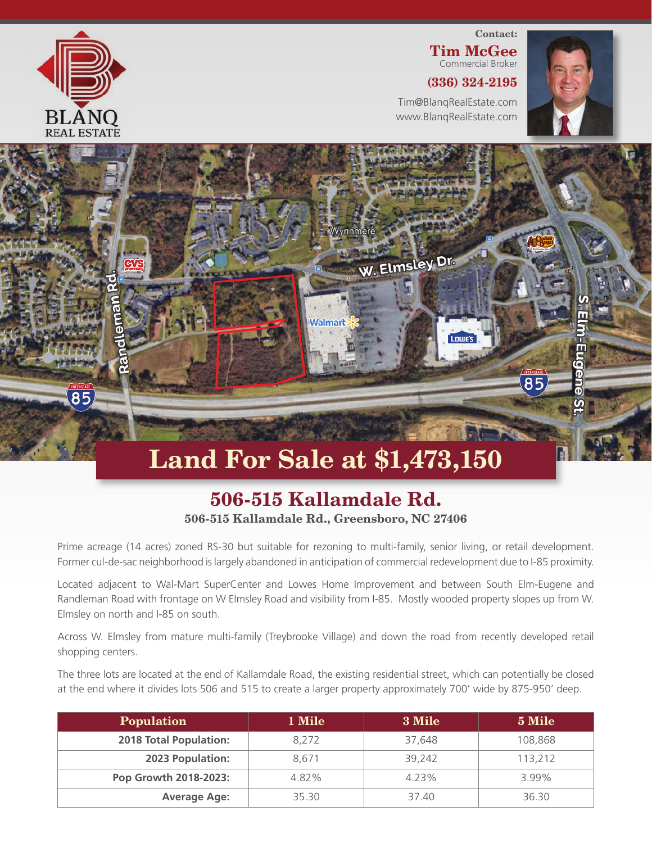

 $\overline{85}$ 

## Contact: Tim McGee Commercial Broker (336) 324-2195

Tim@BlanqRealEstate.com www.BlanqRealEstate.com

I nille's

 $\overline{85}$ 



## Land For Sale at \$1,473,150

Walmart

Wynnmer

W. Elmsley Dr.

## 506-515 Kallamdale Rd. 506-515 Kallamdale Rd., Greensboro, NC 27406

Prime acreage (14 acres) zoned RS-30 but suitable for rezoning to multi-family, senior living, or retail development. Former cul-de-sac neighborhood is largely abandoned in anticipation of commercial redevelopment due to I-85 proximity.

Located adjacent to Wal-Mart SuperCenter and Lowes Home Improvement and between South Elm-Eugene and Randleman Road with frontage on W Elmsley Road and visibility from I-85. Mostly wooded property slopes up from W. Elmsley on north and I-85 on south.

Across W. Elmsley from mature multi-family (Treybrooke Village) and down the road from recently developed retail shopping centers.

The three lots are located at the end of Kallamdale Road, the existing residential street, which can potentially be closed at the end where it divides lots 506 and 515 to create a larger property approximately 700' wide by 875-950' deep.

| <b>Population</b>      | 1 Mile | 3 Mile | 5 Mile  |
|------------------------|--------|--------|---------|
| 2018 Total Population: | 8.272  | 37,648 | 108,868 |
| 2023 Population:       | 8.671  | 39,242 | 113,212 |
| Pop Growth 2018-2023:  | 4.82%  | 4.23%  | 3.99%   |
| <b>Average Age:</b>    | 35.30  | 37.40  | 36.30   |